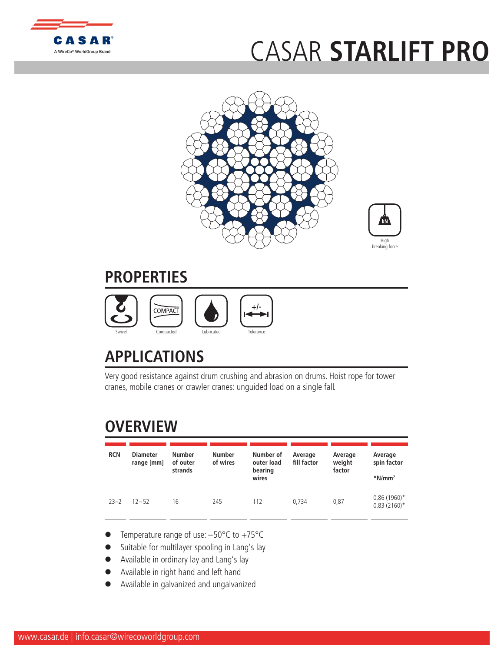

## [C](http://www.casar.de)ASAR **STA[RLIFT PRO](http://www.WireCoWorldGroup.com)**





## **PROPERTIES**



## **APPLICATIONS**

Very good resistance against drum crushing and abrasion on drums. Hoist rope for tower cranes, mobile cranes or crawler cranes: unguided load on a single fall.

## **OVERVIEW**

| <b>RCN</b> | <b>Diameter</b><br>range [mm] | <b>Number</b><br>of outer<br>strands | <b>Number</b><br>of wires | Number of<br>outer load<br>bearing<br>wires | Average<br>fill factor | Average<br>weight<br>factor | Average<br>spin factor<br>$*$ N/mm <sup>2</sup> |
|------------|-------------------------------|--------------------------------------|---------------------------|---------------------------------------------|------------------------|-----------------------------|-------------------------------------------------|
| $23 - 2$   | $12 - 52$                     | 16                                   | 245                       | 112                                         | 0.734                  | 0,87                        | $0,86(1960)$ *<br>$0,83(2160)^*$                |

- Temperature range of use:  $-50^{\circ}$ C to  $+75^{\circ}$ C
- Suitable for multilayer spooling in Lang's lay
- Available in ordinary lay and Lang's lay
- l Available in right hand and left hand
- l Available in galvanized and ungalvanized